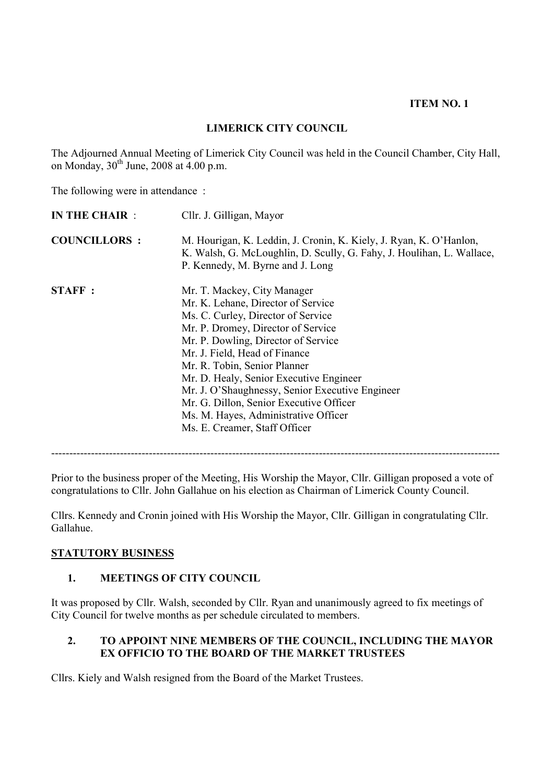### **ITEM NO. 1**

## **LIMERICK CITY COUNCIL**

The Adjourned Annual Meeting of Limerick City Council was held in the Council Chamber, City Hall, on Monday,  $30^{th}$  June, 2008 at 4.00 p.m.

The following were in attendance :

| <b>IN THE CHAIR:</b> | Cllr. J. Gilligan, Mayor                                                                                                                                                                                                                                                                                                                                                                                                                                                |
|----------------------|-------------------------------------------------------------------------------------------------------------------------------------------------------------------------------------------------------------------------------------------------------------------------------------------------------------------------------------------------------------------------------------------------------------------------------------------------------------------------|
| <b>COUNCILLORS:</b>  | M. Hourigan, K. Leddin, J. Cronin, K. Kiely, J. Ryan, K. O'Hanlon,<br>K. Walsh, G. McLoughlin, D. Scully, G. Fahy, J. Houlihan, L. Wallace,<br>P. Kennedy, M. Byrne and J. Long                                                                                                                                                                                                                                                                                         |
| <b>STAFF:</b>        | Mr. T. Mackey, City Manager<br>Mr. K. Lehane, Director of Service<br>Ms. C. Curley, Director of Service<br>Mr. P. Dromey, Director of Service<br>Mr. P. Dowling, Director of Service<br>Mr. J. Field, Head of Finance<br>Mr. R. Tobin, Senior Planner<br>Mr. D. Healy, Senior Executive Engineer<br>Mr. J. O'Shaughnessy, Senior Executive Engineer<br>Mr. G. Dillon, Senior Executive Officer<br>Ms. M. Hayes, Administrative Officer<br>Ms. E. Creamer, Staff Officer |

Prior to the business proper of the Meeting, His Worship the Mayor, Cllr. Gilligan proposed a vote of congratulations to Cllr. John Gallahue on his election as Chairman of Limerick County Council.

----------------------------------------------------------------------------------------------------------------------------

Cllrs. Kennedy and Cronin joined with His Worship the Mayor, Cllr. Gilligan in congratulating Cllr. Gallahue.

#### **STATUTORY BUSINESS**

### **1. MEETINGS OF CITY COUNCIL**

It was proposed by Cllr. Walsh, seconded by Cllr. Ryan and unanimously agreed to fix meetings of City Council for twelve months as per schedule circulated to members.

### **2. TO APPOINT NINE MEMBERS OF THE COUNCIL, INCLUDING THE MAYOR EX OFFICIO TO THE BOARD OF THE MARKET TRUSTEES**

Cllrs. Kiely and Walsh resigned from the Board of the Market Trustees.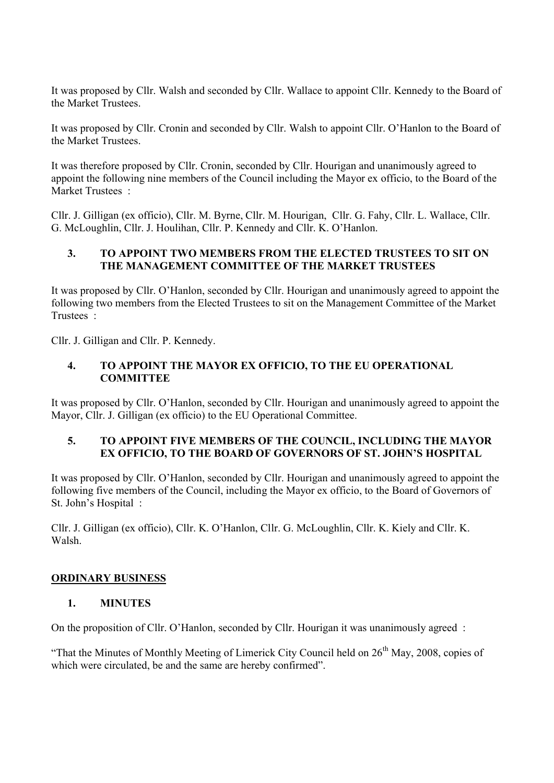It was proposed by Cllr. Walsh and seconded by Cllr. Wallace to appoint Cllr. Kennedy to the Board of the Market Trustees.

It was proposed by Cllr. Cronin and seconded by Cllr. Walsh to appoint Cllr. O'Hanlon to the Board of the Market Trustees.

It was therefore proposed by Cllr. Cronin, seconded by Cllr. Hourigan and unanimously agreed to appoint the following nine members of the Council including the Mayor ex officio, to the Board of the Market Trustees :

Cllr. J. Gilligan (ex officio), Cllr. M. Byrne, Cllr. M. Hourigan, Cllr. G. Fahy, Cllr. L. Wallace, Cllr. G. McLoughlin, Cllr. J. Houlihan, Cllr. P. Kennedy and Cllr. K. O'Hanlon.

## **3. TO APPOINT TWO MEMBERS FROM THE ELECTED TRUSTEES TO SIT ON THE MANAGEMENT COMMITTEE OF THE MARKET TRUSTEES**

It was proposed by Cllr. O'Hanlon, seconded by Cllr. Hourigan and unanimously agreed to appoint the following two members from the Elected Trustees to sit on the Management Committee of the Market Trustees :

Cllr. J. Gilligan and Cllr. P. Kennedy.

### **4. TO APPOINT THE MAYOR EX OFFICIO, TO THE EU OPERATIONAL COMMITTEE**

It was proposed by Cllr. O'Hanlon, seconded by Cllr. Hourigan and unanimously agreed to appoint the Mayor, Cllr. J. Gilligan (ex officio) to the EU Operational Committee.

## **5. TO APPOINT FIVE MEMBERS OF THE COUNCIL, INCLUDING THE MAYOR EX OFFICIO, TO THE BOARD OF GOVERNORS OF ST. JOHN'S HOSPITAL**

It was proposed by Cllr. O'Hanlon, seconded by Cllr. Hourigan and unanimously agreed to appoint the following five members of the Council, including the Mayor ex officio, to the Board of Governors of St. John's Hospital :

Cllr. J. Gilligan (ex officio), Cllr. K. O'Hanlon, Cllr. G. McLoughlin, Cllr. K. Kiely and Cllr. K. Walsh.

### **ORDINARY BUSINESS**

### **1. MINUTES**

On the proposition of Cllr. O'Hanlon, seconded by Cllr. Hourigan it was unanimously agreed :

"That the Minutes of Monthly Meeting of Limerick City Council held on  $26<sup>th</sup>$  May, 2008, copies of which were circulated, be and the same are hereby confirmed".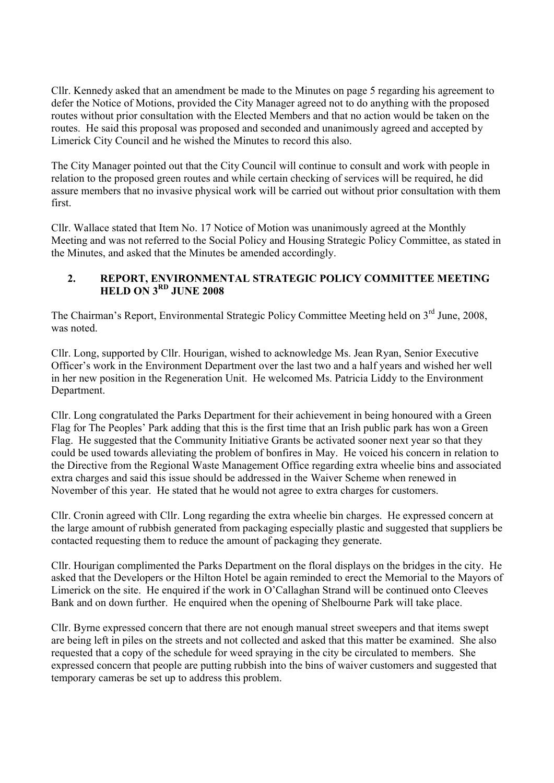Cllr. Kennedy asked that an amendment be made to the Minutes on page 5 regarding his agreement to defer the Notice of Motions, provided the City Manager agreed not to do anything with the proposed routes without prior consultation with the Elected Members and that no action would be taken on the routes. He said this proposal was proposed and seconded and unanimously agreed and accepted by Limerick City Council and he wished the Minutes to record this also.

The City Manager pointed out that the City Council will continue to consult and work with people in relation to the proposed green routes and while certain checking of services will be required, he did assure members that no invasive physical work will be carried out without prior consultation with them first.

Cllr. Wallace stated that Item No. 17 Notice of Motion was unanimously agreed at the Monthly Meeting and was not referred to the Social Policy and Housing Strategic Policy Committee, as stated in the Minutes, and asked that the Minutes be amended accordingly.

## **2. REPORT, ENVIRONMENTAL STRATEGIC POLICY COMMITTEE MEETING HELD ON 3RD JUNE 2008**

The Chairman's Report, Environmental Strategic Policy Committee Meeting held on 3<sup>rd</sup> June, 2008, was noted.

Cllr. Long, supported by Cllr. Hourigan, wished to acknowledge Ms. Jean Ryan, Senior Executive Officer's work in the Environment Department over the last two and a half years and wished her well in her new position in the Regeneration Unit. He welcomed Ms. Patricia Liddy to the Environment Department.

Cllr. Long congratulated the Parks Department for their achievement in being honoured with a Green Flag for The Peoples' Park adding that this is the first time that an Irish public park has won a Green Flag. He suggested that the Community Initiative Grants be activated sooner next year so that they could be used towards alleviating the problem of bonfires in May. He voiced his concern in relation to the Directive from the Regional Waste Management Office regarding extra wheelie bins and associated extra charges and said this issue should be addressed in the Waiver Scheme when renewed in November of this year. He stated that he would not agree to extra charges for customers.

Cllr. Cronin agreed with Cllr. Long regarding the extra wheelie bin charges. He expressed concern at the large amount of rubbish generated from packaging especially plastic and suggested that suppliers be contacted requesting them to reduce the amount of packaging they generate.

Cllr. Hourigan complimented the Parks Department on the floral displays on the bridges in the city. He asked that the Developers or the Hilton Hotel be again reminded to erect the Memorial to the Mayors of Limerick on the site. He enquired if the work in O'Callaghan Strand will be continued onto Cleeves Bank and on down further. He enquired when the opening of Shelbourne Park will take place.

Cllr. Byrne expressed concern that there are not enough manual street sweepers and that items swept are being left in piles on the streets and not collected and asked that this matter be examined. She also requested that a copy of the schedule for weed spraying in the city be circulated to members. She expressed concern that people are putting rubbish into the bins of waiver customers and suggested that temporary cameras be set up to address this problem.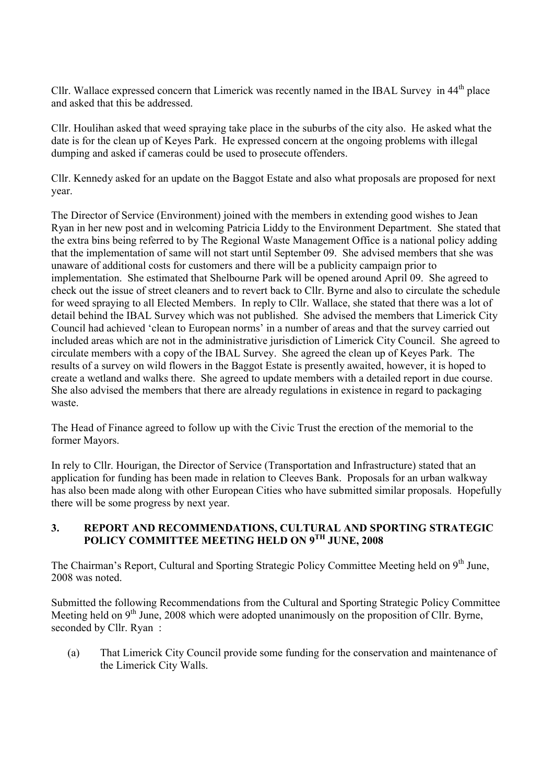Cllr. Wallace expressed concern that Limerick was recently named in the IBAL Survey in 44<sup>th</sup> place and asked that this be addressed.

Cllr. Houlihan asked that weed spraying take place in the suburbs of the city also. He asked what the date is for the clean up of Keyes Park. He expressed concern at the ongoing problems with illegal dumping and asked if cameras could be used to prosecute offenders.

Cllr. Kennedy asked for an update on the Baggot Estate and also what proposals are proposed for next year.

The Director of Service (Environment) joined with the members in extending good wishes to Jean Ryan in her new post and in welcoming Patricia Liddy to the Environment Department. She stated that the extra bins being referred to by The Regional Waste Management Office is a national policy adding that the implementation of same will not start until September 09. She advised members that she was unaware of additional costs for customers and there will be a publicity campaign prior to implementation. She estimated that Shelbourne Park will be opened around April 09. She agreed to check out the issue of street cleaners and to revert back to Cllr. Byrne and also to circulate the schedule for weed spraying to all Elected Members. In reply to Cllr. Wallace, she stated that there was a lot of detail behind the IBAL Survey which was not published. She advised the members that Limerick City Council had achieved 'clean to European norms' in a number of areas and that the survey carried out included areas which are not in the administrative jurisdiction of Limerick City Council. She agreed to circulate members with a copy of the IBAL Survey. She agreed the clean up of Keyes Park. The results of a survey on wild flowers in the Baggot Estate is presently awaited, however, it is hoped to create a wetland and walks there. She agreed to update members with a detailed report in due course. She also advised the members that there are already regulations in existence in regard to packaging waste.

The Head of Finance agreed to follow up with the Civic Trust the erection of the memorial to the former Mayors.

In rely to Cllr. Hourigan, the Director of Service (Transportation and Infrastructure) stated that an application for funding has been made in relation to Cleeves Bank. Proposals for an urban walkway has also been made along with other European Cities who have submitted similar proposals. Hopefully there will be some progress by next year.

## **3. REPORT AND RECOMMENDATIONS, CULTURAL AND SPORTING STRATEGIC POLICY COMMITTEE MEETING HELD ON 9TH JUNE, 2008**

The Chairman's Report, Cultural and Sporting Strategic Policy Committee Meeting held on 9<sup>th</sup> June, 2008 was noted.

Submitted the following Recommendations from the Cultural and Sporting Strategic Policy Committee Meeting held on  $9<sup>th</sup>$  June, 2008 which were adopted unanimously on the proposition of Cllr. Byrne, seconded by Cllr. Ryan :

(a) That Limerick City Council provide some funding for the conservation and maintenance of the Limerick City Walls.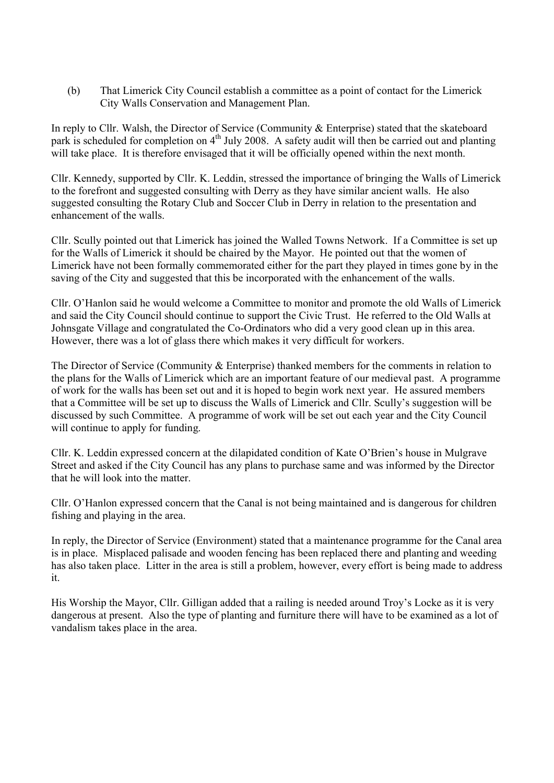(b) That Limerick City Council establish a committee as a point of contact for the Limerick City Walls Conservation and Management Plan.

In reply to Cllr. Walsh, the Director of Service (Community & Enterprise) stated that the skateboard park is scheduled for completion on 4<sup>th</sup> July 2008. A safety audit will then be carried out and planting will take place. It is therefore envisaged that it will be officially opened within the next month.

Cllr. Kennedy, supported by Cllr. K. Leddin, stressed the importance of bringing the Walls of Limerick to the forefront and suggested consulting with Derry as they have similar ancient walls. He also suggested consulting the Rotary Club and Soccer Club in Derry in relation to the presentation and enhancement of the walls.

Cllr. Scully pointed out that Limerick has joined the Walled Towns Network. If a Committee is set up for the Walls of Limerick it should be chaired by the Mayor. He pointed out that the women of Limerick have not been formally commemorated either for the part they played in times gone by in the saving of the City and suggested that this be incorporated with the enhancement of the walls.

Cllr. O'Hanlon said he would welcome a Committee to monitor and promote the old Walls of Limerick and said the City Council should continue to support the Civic Trust. He referred to the Old Walls at Johnsgate Village and congratulated the Co-Ordinators who did a very good clean up in this area. However, there was a lot of glass there which makes it very difficult for workers.

The Director of Service (Community & Enterprise) thanked members for the comments in relation to the plans for the Walls of Limerick which are an important feature of our medieval past. A programme of work for the walls has been set out and it is hoped to begin work next year. He assured members that a Committee will be set up to discuss the Walls of Limerick and Cllr. Scully's suggestion will be discussed by such Committee. A programme of work will be set out each year and the City Council will continue to apply for funding.

Cllr. K. Leddin expressed concern at the dilapidated condition of Kate O'Brien's house in Mulgrave Street and asked if the City Council has any plans to purchase same and was informed by the Director that he will look into the matter.

Cllr. O'Hanlon expressed concern that the Canal is not being maintained and is dangerous for children fishing and playing in the area.

In reply, the Director of Service (Environment) stated that a maintenance programme for the Canal area is in place. Misplaced palisade and wooden fencing has been replaced there and planting and weeding has also taken place. Litter in the area is still a problem, however, every effort is being made to address it.

His Worship the Mayor, Cllr. Gilligan added that a railing is needed around Troy's Locke as it is very dangerous at present. Also the type of planting and furniture there will have to be examined as a lot of vandalism takes place in the area.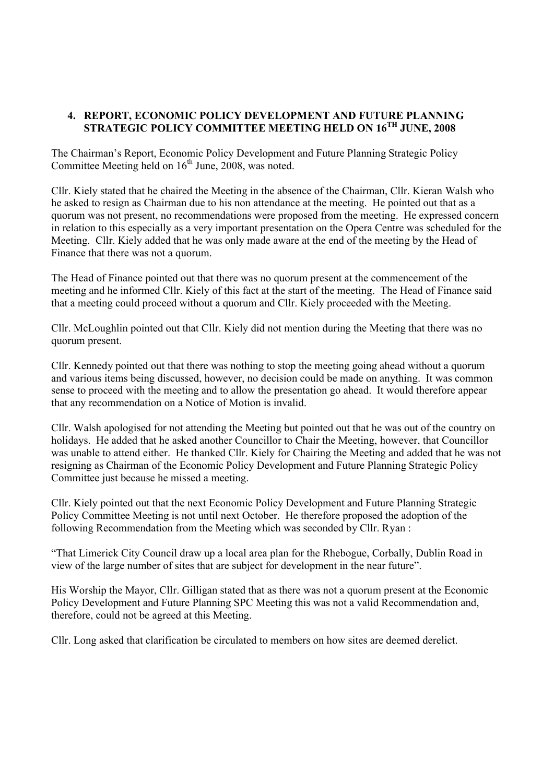## **4. REPORT, ECONOMIC POLICY DEVELOPMENT AND FUTURE PLANNING STRATEGIC POLICY COMMITTEE MEETING HELD ON 16TH JUNE, 2008**

The Chairman's Report, Economic Policy Development and Future Planning Strategic Policy Committee Meeting held on  $16<sup>th</sup>$  June, 2008, was noted.

Cllr. Kiely stated that he chaired the Meeting in the absence of the Chairman, Cllr. Kieran Walsh who he asked to resign as Chairman due to his non attendance at the meeting. He pointed out that as a quorum was not present, no recommendations were proposed from the meeting. He expressed concern in relation to this especially as a very important presentation on the Opera Centre was scheduled for the Meeting. Cllr. Kiely added that he was only made aware at the end of the meeting by the Head of Finance that there was not a quorum.

The Head of Finance pointed out that there was no quorum present at the commencement of the meeting and he informed Cllr. Kiely of this fact at the start of the meeting. The Head of Finance said that a meeting could proceed without a quorum and Cllr. Kiely proceeded with the Meeting.

Cllr. McLoughlin pointed out that Cllr. Kiely did not mention during the Meeting that there was no quorum present.

Cllr. Kennedy pointed out that there was nothing to stop the meeting going ahead without a quorum and various items being discussed, however, no decision could be made on anything. It was common sense to proceed with the meeting and to allow the presentation go ahead. It would therefore appear that any recommendation on a Notice of Motion is invalid.

Cllr. Walsh apologised for not attending the Meeting but pointed out that he was out of the country on holidays. He added that he asked another Councillor to Chair the Meeting, however, that Councillor was unable to attend either. He thanked Cllr. Kiely for Chairing the Meeting and added that he was not resigning as Chairman of the Economic Policy Development and Future Planning Strategic Policy Committee just because he missed a meeting.

Cllr. Kiely pointed out that the next Economic Policy Development and Future Planning Strategic Policy Committee Meeting is not until next October. He therefore proposed the adoption of the following Recommendation from the Meeting which was seconded by Cllr. Ryan :

"That Limerick City Council draw up a local area plan for the Rhebogue, Corbally, Dublin Road in view of the large number of sites that are subject for development in the near future".

His Worship the Mayor, Cllr. Gilligan stated that as there was not a quorum present at the Economic Policy Development and Future Planning SPC Meeting this was not a valid Recommendation and, therefore, could not be agreed at this Meeting.

Cllr. Long asked that clarification be circulated to members on how sites are deemed derelict.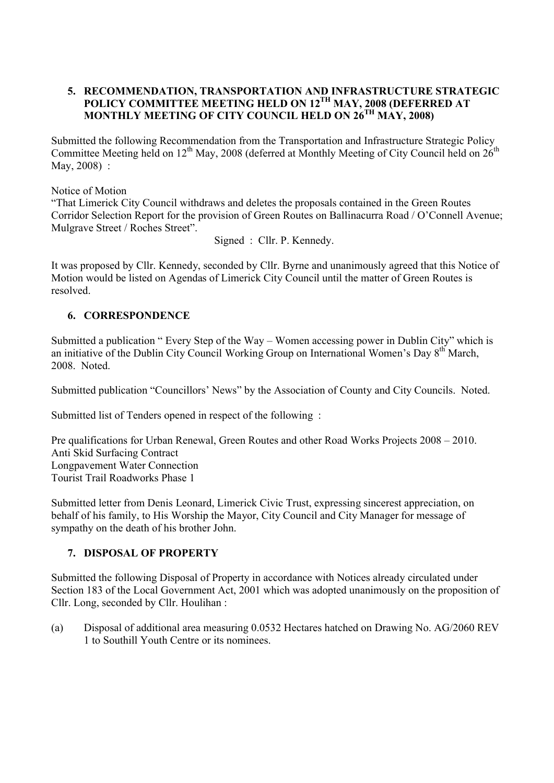## **5. RECOMMENDATION, TRANSPORTATION AND INFRASTRUCTURE STRATEGIC**  POLICY COMMITTEE MEETING HELD ON 12<sup>TH</sup> MAY, 2008 (DEFERRED AT **MONTHLY MEETING OF CITY COUNCIL HELD ON 26TH MAY, 2008)**

Submitted the following Recommendation from the Transportation and Infrastructure Strategic Policy Committee Meeting held on  $12<sup>th</sup>$  May, 2008 (deferred at Monthly Meeting of City Council held on  $26<sup>th</sup>$ May, 2008) :

Notice of Motion

"That Limerick City Council withdraws and deletes the proposals contained in the Green Routes Corridor Selection Report for the provision of Green Routes on Ballinacurra Road / O'Connell Avenue; Mulgrave Street / Roches Street".

Signed : Cllr. P. Kennedy.

It was proposed by Cllr. Kennedy, seconded by Cllr. Byrne and unanimously agreed that this Notice of Motion would be listed on Agendas of Limerick City Council until the matter of Green Routes is resolved.

## **6. CORRESPONDENCE**

Submitted a publication " Every Step of the Way – Women accessing power in Dublin City" which is an initiative of the Dublin City Council Working Group on International Women's Day 8<sup>th</sup> March, 2008. Noted.

Submitted publication "Councillors' News" by the Association of County and City Councils. Noted.

Submitted list of Tenders opened in respect of the following :

Pre qualifications for Urban Renewal, Green Routes and other Road Works Projects 2008 – 2010. Anti Skid Surfacing Contract Longpavement Water Connection Tourist Trail Roadworks Phase 1

Submitted letter from Denis Leonard, Limerick Civic Trust, expressing sincerest appreciation, on behalf of his family, to His Worship the Mayor, City Council and City Manager for message of sympathy on the death of his brother John.

### **7. DISPOSAL OF PROPERTY**

Submitted the following Disposal of Property in accordance with Notices already circulated under Section 183 of the Local Government Act, 2001 which was adopted unanimously on the proposition of Cllr. Long, seconded by Cllr. Houlihan :

(a) Disposal of additional area measuring 0.0532 Hectares hatched on Drawing No. AG/2060 REV 1 to Southill Youth Centre or its nominees.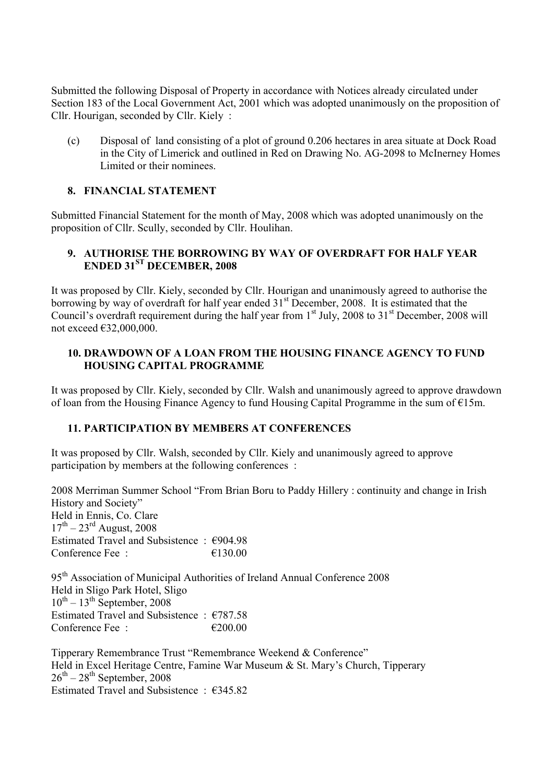Submitted the following Disposal of Property in accordance with Notices already circulated under Section 183 of the Local Government Act, 2001 which was adopted unanimously on the proposition of Cllr. Hourigan, seconded by Cllr. Kiely :

(c) Disposal of land consisting of a plot of ground 0.206 hectares in area situate at Dock Road in the City of Limerick and outlined in Red on Drawing No. AG-2098 to McInerney Homes Limited or their nominees.

## **8. FINANCIAL STATEMENT**

Submitted Financial Statement for the month of May, 2008 which was adopted unanimously on the proposition of Cllr. Scully, seconded by Cllr. Houlihan.

## **9. AUTHORISE THE BORROWING BY WAY OF OVERDRAFT FOR HALF YEAR ENDED 31ST DECEMBER, 2008**

It was proposed by Cllr. Kiely, seconded by Cllr. Hourigan and unanimously agreed to authorise the borrowing by way of overdraft for half year ended 31<sup>st</sup> December, 2008. It is estimated that the Council's overdraft requirement during the half year from  $1<sup>st</sup>$  July, 2008 to  $31<sup>st</sup>$  December, 2008 will not exceed €32,000,000.

## **10. DRAWDOWN OF A LOAN FROM THE HOUSING FINANCE AGENCY TO FUND HOUSING CAPITAL PROGRAMME**

It was proposed by Cllr. Kiely, seconded by Cllr. Walsh and unanimously agreed to approve drawdown of loan from the Housing Finance Agency to fund Housing Capital Programme in the sum of €15m.

### **11. PARTICIPATION BY MEMBERS AT CONFERENCES**

It was proposed by Cllr. Walsh, seconded by Cllr. Kiely and unanimously agreed to approve participation by members at the following conferences :

2008 Merriman Summer School "From Brian Boru to Paddy Hillery : continuity and change in Irish History and Society" Held in Ennis, Co. Clare  $17^{th} - 23^{rd}$  August, 2008 Estimated Travel and Subsistence : €904.98 Conference Fee  $\cdot$   $\epsilon$  130.00

95<sup>th</sup> Association of Municipal Authorities of Ireland Annual Conference 2008 Held in Sligo Park Hotel, Sligo  $10^{th} - 13^{th}$  September, 2008 Estimated Travel and Subsistence : €787.58 Conference Fee :  $\epsilon$  200.00

Tipperary Remembrance Trust "Remembrance Weekend & Conference" Held in Excel Heritage Centre, Famine War Museum & St. Mary's Church, Tipperary  $26^{th} - 28^{th}$  September, 2008 Estimated Travel and Subsistence  $\cdot$  €345.82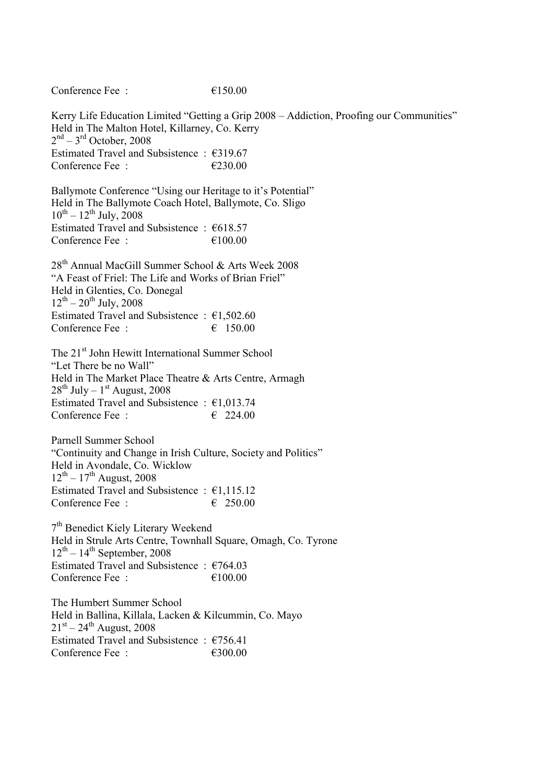Kerry Life Education Limited "Getting a Grip 2008 – Addiction, Proofing our Communities" Held in The Malton Hotel, Killarney, Co. Kerry  $2<sup>nd</sup> - 3<sup>rd</sup>$  October, 2008 Estimated Travel and Subsistence : €319.67 Conference Fee :  $\epsilon$  230.00

Ballymote Conference "Using our Heritage to it's Potential" Held in The Ballymote Coach Hotel, Ballymote, Co. Sligo  $10^{th} - 12^{th}$  July, 2008 Estimated Travel and Subsistence :  $618.57$ Conference Fee :  $\epsilon$  100.00

Conference Fee  $\cdot$   $\epsilon$ 150.00

28<sup>th</sup> Annual MacGill Summer School & Arts Week 2008 "A Feast of Friel: The Life and Works of Brian Friel" Held in Glenties, Co. Donegal  $12^{th} - 20^{th}$  July, 2008 Estimated Travel and Subsistence :  $\epsilon$ 1,502.60 Conference Fee :  $\epsilon$  150.00

The 21<sup>st</sup> John Hewitt International Summer School "Let There be no Wall" Held in The Market Place Theatre & Arts Centre, Armagh  $28^{th}$  July –  $1^{st}$  August, 2008 Estimated Travel and Subsistence : €1,013.74 Conference Fee :  $\epsilon$  224.00

Parnell Summer School "Continuity and Change in Irish Culture, Society and Politics" Held in Avondale, Co. Wicklow  $12^{th} - 17^{th}$  August, 2008 Estimated Travel and Subsistence :  $\epsilon$ 1,115.12 Conference Fee :  $\epsilon$  250.00

7th Benedict Kiely Literary Weekend Held in Strule Arts Centre, Townhall Square, Omagh, Co. Tyrone  $12^{th}$  –  $14^{th}$  September, 2008 Estimated Travel and Subsistence :  $\epsilon$ 764.03 Conference Fee  $\cdot$   $\epsilon$  100.00

The Humbert Summer School Held in Ballina, Killala, Lacken & Kilcummin, Co. Mayo  $21^{st} - 24^{th}$  August, 2008 Estimated Travel and Subsistence :  $\epsilon$ 756.41 Conference Fee :  $\epsilon$ 300.00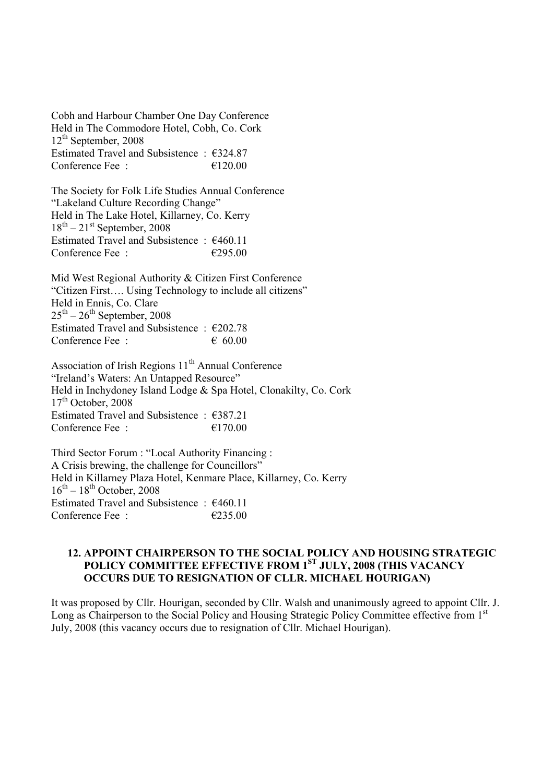Cobh and Harbour Chamber One Day Conference Held in The Commodore Hotel, Cobh, Co. Cork 12th September, 2008 Estimated Travel and Subsistence : €324.87 Conference Fee :  $\epsilon$  120.00

The Society for Folk Life Studies Annual Conference "Lakeland Culture Recording Change" Held in The Lake Hotel, Killarney, Co. Kerry  $18<sup>th</sup> - 21<sup>st</sup>$  September, 2008 Estimated Travel and Subsistence : €460.11 Conference Fee :  $\epsilon$  295.00

Mid West Regional Authority & Citizen First Conference "Citizen First…. Using Technology to include all citizens" Held in Ennis, Co. Clare  $25<sup>th</sup> - 26<sup>th</sup>$  September, 2008 Estimated Travel and Subsistence : €202.78 Conference Fee :  $60.00$ 

Association of Irish Regions  $11<sup>th</sup>$  Annual Conference "Ireland's Waters: An Untapped Resource" Held in Inchydoney Island Lodge & Spa Hotel, Clonakilty, Co. Cork  $17<sup>th</sup>$  October, 2008 Estimated Travel and Subsistence :  $\epsilon$ 387.21 Conference Fee :  $\epsilon$  170.00

Third Sector Forum : "Local Authority Financing : A Crisis brewing, the challenge for Councillors" Held in Killarney Plaza Hotel, Kenmare Place, Killarney, Co. Kerry  $16^{th}$  –  $18^{th}$  October, 2008 Estimated Travel and Subsistence : €460.11 Conference Fee  $\cdot$   $\epsilon$  235.00

#### **12. APPOINT CHAIRPERSON TO THE SOCIAL POLICY AND HOUSING STRATEGIC POLICY COMMITTEE EFFECTIVE FROM 1ST JULY, 2008 (THIS VACANCY OCCURS DUE TO RESIGNATION OF CLLR. MICHAEL HOURIGAN)**

It was proposed by Cllr. Hourigan, seconded by Cllr. Walsh and unanimously agreed to appoint Cllr. J. Long as Chairperson to the Social Policy and Housing Strategic Policy Committee effective from 1<sup>st</sup> July, 2008 (this vacancy occurs due to resignation of Cllr. Michael Hourigan).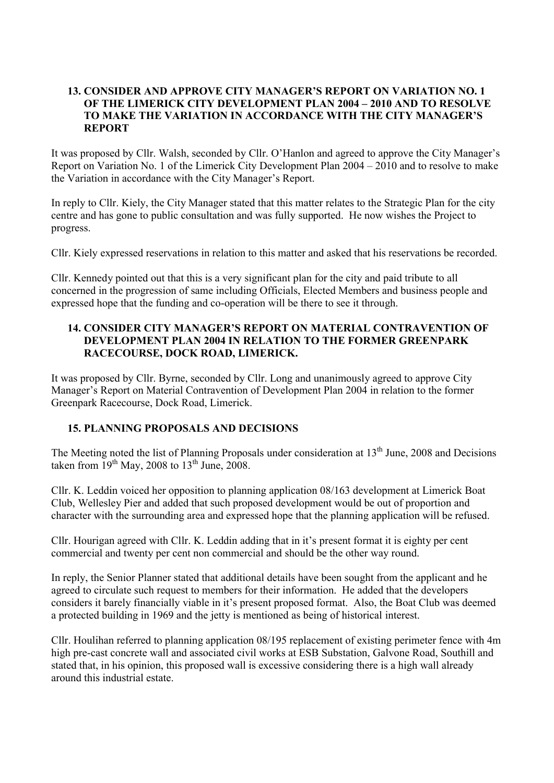### **13. CONSIDER AND APPROVE CITY MANAGER'S REPORT ON VARIATION NO. 1 OF THE LIMERICK CITY DEVELOPMENT PLAN 2004 – 2010 AND TO RESOLVE TO MAKE THE VARIATION IN ACCORDANCE WITH THE CITY MANAGER'S REPORT**

It was proposed by Cllr. Walsh, seconded by Cllr. O'Hanlon and agreed to approve the City Manager's Report on Variation No. 1 of the Limerick City Development Plan 2004 – 2010 and to resolve to make the Variation in accordance with the City Manager's Report.

In reply to Cllr. Kiely, the City Manager stated that this matter relates to the Strategic Plan for the city centre and has gone to public consultation and was fully supported. He now wishes the Project to progress.

Cllr. Kiely expressed reservations in relation to this matter and asked that his reservations be recorded.

Cllr. Kennedy pointed out that this is a very significant plan for the city and paid tribute to all concerned in the progression of same including Officials, Elected Members and business people and expressed hope that the funding and co-operation will be there to see it through.

### **14. CONSIDER CITY MANAGER'S REPORT ON MATERIAL CONTRAVENTION OF DEVELOPMENT PLAN 2004 IN RELATION TO THE FORMER GREENPARK RACECOURSE, DOCK ROAD, LIMERICK.**

It was proposed by Cllr. Byrne, seconded by Cllr. Long and unanimously agreed to approve City Manager's Report on Material Contravention of Development Plan 2004 in relation to the former Greenpark Racecourse, Dock Road, Limerick.

### **15. PLANNING PROPOSALS AND DECISIONS**

The Meeting noted the list of Planning Proposals under consideration at 13<sup>th</sup> June, 2008 and Decisions taken from  $19<sup>th</sup>$  May, 2008 to  $13<sup>th</sup>$  June, 2008.

Cllr. K. Leddin voiced her opposition to planning application 08/163 development at Limerick Boat Club, Wellesley Pier and added that such proposed development would be out of proportion and character with the surrounding area and expressed hope that the planning application will be refused.

Cllr. Hourigan agreed with Cllr. K. Leddin adding that in it's present format it is eighty per cent commercial and twenty per cent non commercial and should be the other way round.

In reply, the Senior Planner stated that additional details have been sought from the applicant and he agreed to circulate such request to members for their information. He added that the developers considers it barely financially viable in it's present proposed format. Also, the Boat Club was deemed a protected building in 1969 and the jetty is mentioned as being of historical interest.

Cllr. Houlihan referred to planning application 08/195 replacement of existing perimeter fence with 4m high pre-cast concrete wall and associated civil works at ESB Substation, Galvone Road, Southill and stated that, in his opinion, this proposed wall is excessive considering there is a high wall already around this industrial estate.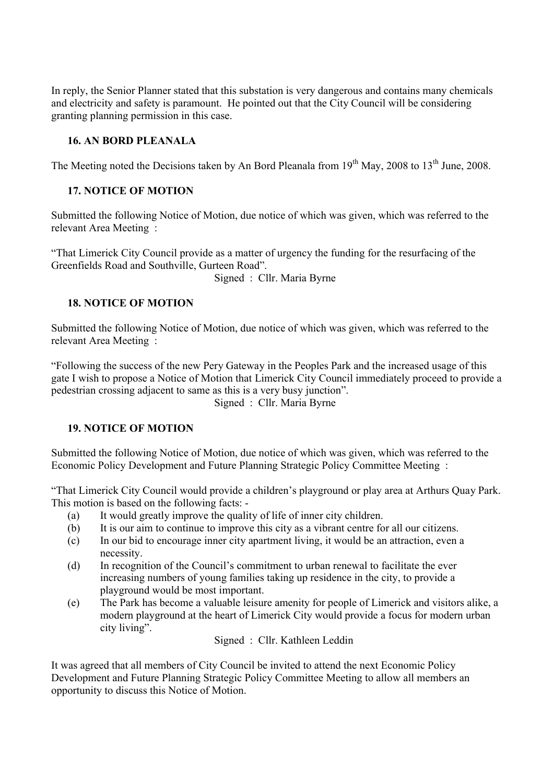In reply, the Senior Planner stated that this substation is very dangerous and contains many chemicals and electricity and safety is paramount. He pointed out that the City Council will be considering granting planning permission in this case.

# **16. AN BORD PLEANALA**

The Meeting noted the Decisions taken by An Bord Pleanala from 19<sup>th</sup> May, 2008 to 13<sup>th</sup> June, 2008.

# **17. NOTICE OF MOTION**

Submitted the following Notice of Motion, due notice of which was given, which was referred to the relevant Area Meeting :

"That Limerick City Council provide as a matter of urgency the funding for the resurfacing of the Greenfields Road and Southville, Gurteen Road".

Signed : Cllr. Maria Byrne

## **18. NOTICE OF MOTION**

Submitted the following Notice of Motion, due notice of which was given, which was referred to the relevant Area Meeting :

"Following the success of the new Pery Gateway in the Peoples Park and the increased usage of this gate I wish to propose a Notice of Motion that Limerick City Council immediately proceed to provide a pedestrian crossing adjacent to same as this is a very busy junction".

Signed : Cllr. Maria Byrne

### **19. NOTICE OF MOTION**

Submitted the following Notice of Motion, due notice of which was given, which was referred to the Economic Policy Development and Future Planning Strategic Policy Committee Meeting :

"That Limerick City Council would provide a children's playground or play area at Arthurs Quay Park. This motion is based on the following facts: -

- (a) It would greatly improve the quality of life of inner city children.
- (b) It is our aim to continue to improve this city as a vibrant centre for all our citizens.
- (c) In our bid to encourage inner city apartment living, it would be an attraction, even a necessity.
- (d) In recognition of the Council's commitment to urban renewal to facilitate the ever increasing numbers of young families taking up residence in the city, to provide a playground would be most important.
- (e) The Park has become a valuable leisure amenity for people of Limerick and visitors alike, a modern playground at the heart of Limerick City would provide a focus for modern urban city living".

Signed : Cllr. Kathleen Leddin

It was agreed that all members of City Council be invited to attend the next Economic Policy Development and Future Planning Strategic Policy Committee Meeting to allow all members an opportunity to discuss this Notice of Motion.